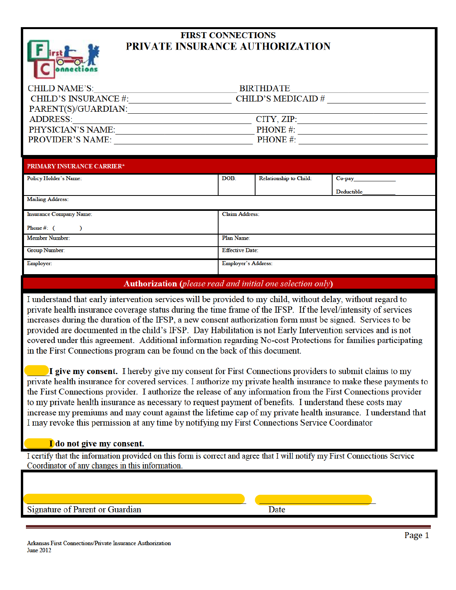

## **FIRST CONNECTIONS** PRIVATE INSURANCE AUTHORIZATION

| CHILD NAME'S:               | <b>BIRTHDATE</b>         |
|-----------------------------|--------------------------|
| <b>CHILD'S INSURANCE #:</b> | <b>CHILD'S MEDICAID#</b> |
| PARENT(S)/GUARDIAN:         |                          |
| ADDRESS:                    | CITY, ZIP:               |
| PHYSICIAN'S NAME:           | <b>PHONE</b> #:          |
| <b>PROVIDER'S NAME:</b>     | PHONE#:                  |

| <b>PRIMARY INSURANCE CARRIER*</b> |                            |                               |            |  |
|-----------------------------------|----------------------------|-------------------------------|------------|--|
| Policy Holder's Name:             | DOB:                       | <b>Relationship to Child:</b> | $Co$ -pay  |  |
|                                   |                            |                               | Deductible |  |
| <b>Mailing Address:</b>           |                            |                               |            |  |
| <b>Insurance Company Name:</b>    | <b>Claim Address:</b>      |                               |            |  |
| Phone #: $($                      |                            |                               |            |  |
| <b>Member Number:</b>             | Plan Name:                 |                               |            |  |
| Group Number:                     | <b>Effective Date:</b>     |                               |            |  |
| Employer:                         | <b>Employer's Address:</b> |                               |            |  |

## **Authorization** (please read and initial one selection only)

I understand that early intervention services will be provided to my child, without delay, without regard to private health insurance coverage status during the time frame of the IFSP. If the level/intensity of services increases during the duration of the IFSP, a new consent authorization form must be signed. Services to be provided are documented in the child's IFSP. Day Habilitation is not Early Intervention services and is not covered under this agreement. Additional information regarding No-cost Protections for families participating in the First Connections program can be found on the back of this document.

I give my consent. I hereby give my consent for First Connections providers to submit claims to my private health insurance for covered services. I authorize my private health insurance to make these payments to the First Connections provider. I authorize the release of any information from the First Connections provider to my private health insurance as necessary to request payment of benefits. I understand these costs may increase my premiums and may count against the lifetime cap of my private health insurance. I understand that I may revoke this permission at any time by notifying my First Connections Service Coordinator

## I do not give my consent.

I certify that the information provided on this form is correct and agree that I will notify my First Connections Service Coordinator of any changes in this information.

Signature of Parent or Guardian

**Date**